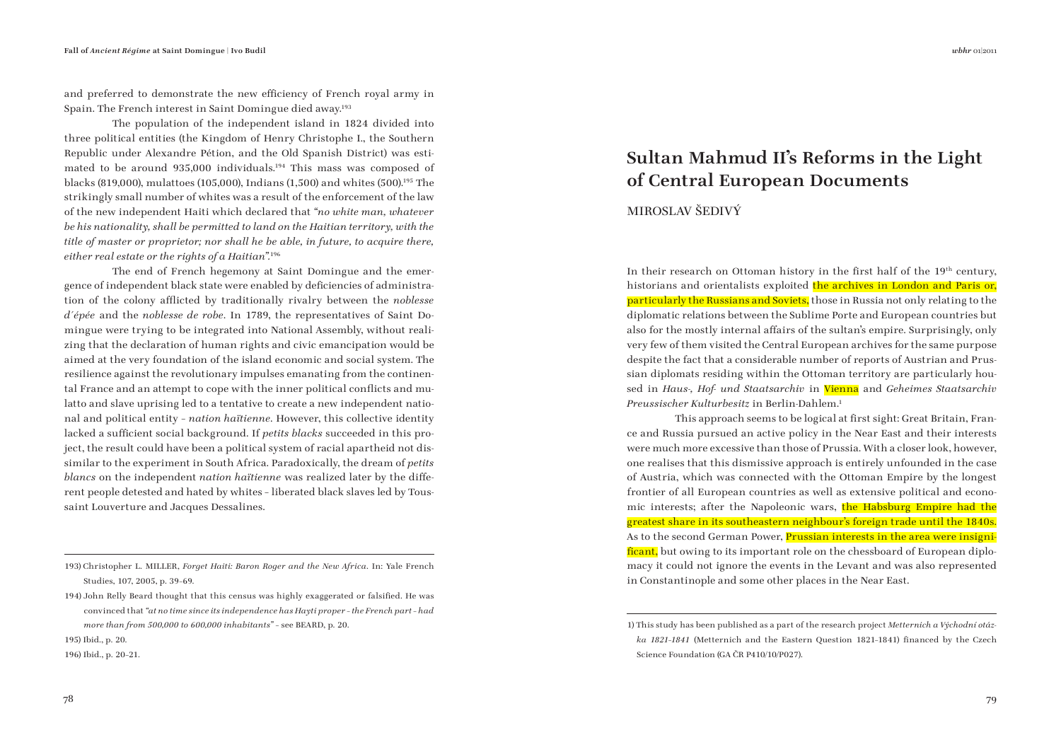and preferred to demonstrate the new efficiency of French royal army in Spain. The French interest in Saint Domingue died away.193

The population of the independent island in 1824 divided into three political entities (the Kingdom of Henry Christophe I., the Southern Republic under Alexandre Pétion, and the Old Spanish District) was estimated to be around 935,000 individuals.<sup>194</sup> This mass was composed of blacks (819,000), mulattoes (105,000), Indians (1,500) and whites (500).195 The strikingly small number of whites was a result of the enforcement of the law of the new independent Haiti which declared that *"no white man, whatever be his nationality, shall be permitted to land on the Haitian territory, with the title of master or proprietor; nor shall he be able, in future, to acquire there, either real estate or the rights of a Haitian".*<sup>196</sup>

The end of French hegemony at Saint Domingue and the emergence of independent black state were enabled by deficiencies of administration of the colony afflicted by traditionally rivalry between the *noblesse d´épée* and the *noblesse de robe*. In 1789, the representatives of Saint Domingue were trying to be integrated into National Assembly, without realizing that the declaration of human rights and civic emancipation would be aimed at the very foundation of the island economic and social system. The resilience against the revolutionary impulses emanating from the continental France and an attempt to cope with the inner political conflicts and mulatto and slave uprising led to a tentative to create a new independent national and political entity – *nation haïtienne*. However, this collective identity lacked a sufficient social background. If *petits blacks* succeeded in this project, the result could have been a political system of racial apartheid not dissimilar to the experiment in South Africa. Paradoxically, the dream of *petits blancs* on the independent *nation haïtienne* was realized later by the different people detested and hated by whites – liberated black slaves led by Toussaint Louverture and Jacques Dessalines.

196) Ibid., p. 20–21.

## **Sultan Mahmud II's Reforms in the Light of Central European Documents**

MIROSLAV ŠEDIVÝ

In their research on Ottoman history in the first half of the  $19<sup>th</sup>$  century, historians and orientalists exploited the archives in London and Paris or, particularly the Russians and Soviets, those in Russia not only relating to the diplomatic relations between the Sublime Porte and European countries but also for the mostly internal affairs of the sultan's empire. Surprisingly, only very few of them visited the Central European archives for the same purpose despite the fact that a considerable number of reports of Austrian and Prussian diplomats residing within the Ottoman territory are particularly housed in *Haus-, Hof- und Staatsarchiv* in Vienna and *Geheimes Staatsarchiv Preussischer Kulturbesitz* in Berlin-Dahlem.1

This approach seems to be logical at first sight: Great Britain, France and Russia pursued an active policy in the Near East and their interests were much more excessive than those of Prussia. With a closer look, however, one realises that this dismissive approach is entirely unfounded in the case of Austria, which was connected with the Ottoman Empire by the longest frontier of all European countries as well as extensive political and economic interests; after the Napoleonic wars, the Habsburg Empire had the greatest share in its southeastern neighbour's foreign trade until the 1840s. As to the second German Power, Prussian interests in the area were insignificant, but owing to its important role on the chessboard of European diplomacy it could not ignore the events in the Levant and was also represented in Constantinople and some other places in the Near East.

<sup>193)</sup> Christopher L. MILLER, *Forget Haiti: Baron Roger and the New Africa*. In: Yale French Studies, 107, 2005, p. 39–69.

<sup>194)</sup> John Relly Beard thought that this census was highly exaggerated or falsified. He was convinced that *"at no time since its independence has Hayti proper – the French part – had more than from 500,000 to 600,000 inhabitants"* – see BEARD, p. 20.

<sup>195)</sup> Ibid., p. 20.

<sup>1)</sup> This study has been published as a part of the research project *Metternich a Východní otázka 1821-1841* (Metternich and the Eastern Question 1821-1841) financed by the Czech Science Foundation (GA ČR P410/10/P027).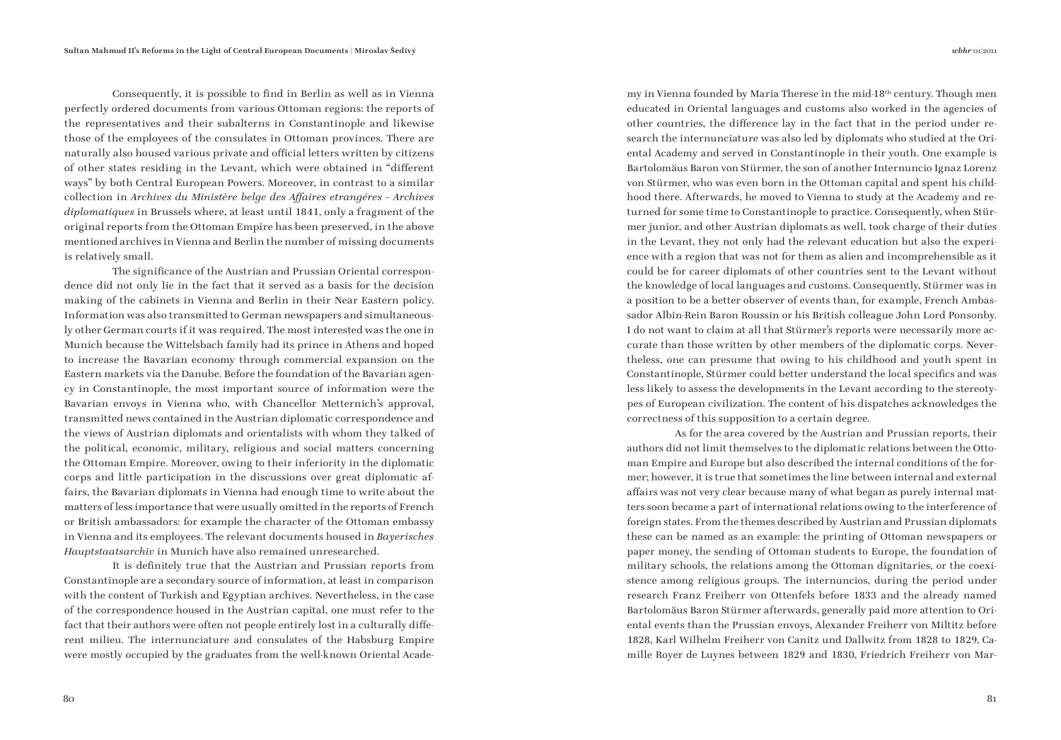Consequently, it is possible to find in Berlin as well as in Vienna perfectly ordered documents from various Ottoman regions: the reports of the representatives and their subalterns in Constantinople and likewise those of the employees of the consulates in Ottoman provinces. There are naturally also housed various private and official letters written by citizens of other states residing in the Levant, which were obtained in "different" ways" by both Central European Powers. Moreover, in contrast to a similar collection in *Archives du Ministère belge des Affaires etrangéres - Archives diplomatiques* in Brussels where, at least until 1841, only a fragment of the original reports from the Ottoman Empire has been preserved, in the above mentioned archives in Vienna and Berlin the number of missing documents is relatively small.

The significance of the Austrian and Prussian Oriental correspondence did not only lie in the fact that it served as a basis for the decision making of the cabinets in Vienna and Berlin in their Near Eastern policy. Information was also transmitted to German newspapers and simultaneously other German courts if it was required. The most interested was the one in Munich because the Wittelsbach family had its prince in Athens and hoped to increase the Bavarian economy through commercial expansion on the Eastern markets via the Danube. Before the foundation of the Bavarian agency in Constantinople, the most important source of information were the Bavarian envoys in Vienna who, with Chancellor Metternich's approval, transmitted news contained in the Austrian diplomatic correspondence and the views of Austrian diplomats and orientalists with whom they talked of the political, economic, military, religious and social matters concerning the Ottoman Empire. Moreover, owing to their inferiority in the diplomatic corps and little participation in the discussions over great diplomatic affairs, the Bavarian diplomats in Vienna had enough time to write about the matters of less importance that were usually omitted in the reports of French or British ambassadors: for example the character of the Ottoman embassy in Vienna and its employees. The relevant documents housed in *Bayerisches Hauptstaatsarchiv* in Munich have also remained unresearched.

It is definitely true that the Austrian and Prussian reports from Constantinople are a secondary source of information, at least in comparison with the content of Turkish and Egyptian archives. Nevertheless, in the case of the correspondence housed in the Austrian capital, one must refer to the fact that their authors were often not people entirely lost in a culturally different milieu. The internunciature and consulates of the Habsburg Empire were mostly occupied by the graduates from the well-known Oriental Academy in Vienna founded by Maria Therese in the mid-18th century. Though men educated in Oriental languages and customs also worked in the agencies of other countries, the difference lay in the fact that in the period under research the internunciature was also led by diplomats who studied at the Oriental Academy and served in Constantinople in their youth. One example is Bartolomäus Baron von Stürmer, the son of another Internuncio Ignaz Lorenz von Stürmer, who was even born in the Ottoman capital and spent his childhood there. Afterwards, he moved to Vienna to study at the Academy and returned for some time to Constantinople to practice. Consequently, when Stürmer junior, and other Austrian diplomats as well, took charge of their duties in the Levant, they not only had the relevant education but also the experience with a region that was not for them as alien and incomprehensible as it could be for career diplomats of other countries sent to the Levant without the knowledge of local languages and customs. Consequently, Stürmer was in a position to be a better observer of events than, for example, French Ambassador Albin-Rein Baron Roussin or his British colleague John Lord Ponsonby. I do not want to claim at all that Stürmer's reports were necessarily more accurate than those written by other members of the diplomatic corps. Nevertheless, one can presume that owing to his childhood and youth spent in Constantinople, Stürmer could better understand the local specifics and was less likely to assess the developments in the Levant according to the stereotypes of European civilization. The content of his dispatches acknowledges the correctness of this supposition to a certain degree.

As for the area covered by the Austrian and Prussian reports, their authors did not limit themselves to the diplomatic relations between the Ottoman Empire and Europe but also described the internal conditions of the former; however, it is true that sometimes the line between internal and external affairs was not very clear because many of what began as purely internal matters soon became a part of international relations owing to the interference of foreign states. From the themes described by Austrian and Prussian diplomats these can be named as an example: the printing of Ottoman newspapers or paper money, the sending of Ottoman students to Europe, the foundation of military schools, the relations among the Ottoman dignitaries, or the coexistence among religious groups. The internuncios, during the period under research Franz Freiherr von Ottenfels before 1833 and the already named Bartolomäus Baron Stürmer afterwards, generally paid more attention to Oriental events than the Prussian envoys, Alexander Freiherr von Miltitz before 1828, Karl Wilhelm Freiherr von Canitz und Dallwitz from 1828 to 1829, Camille Royer de Luynes between 1829 and 1830, Friedrich Freiherr von Mar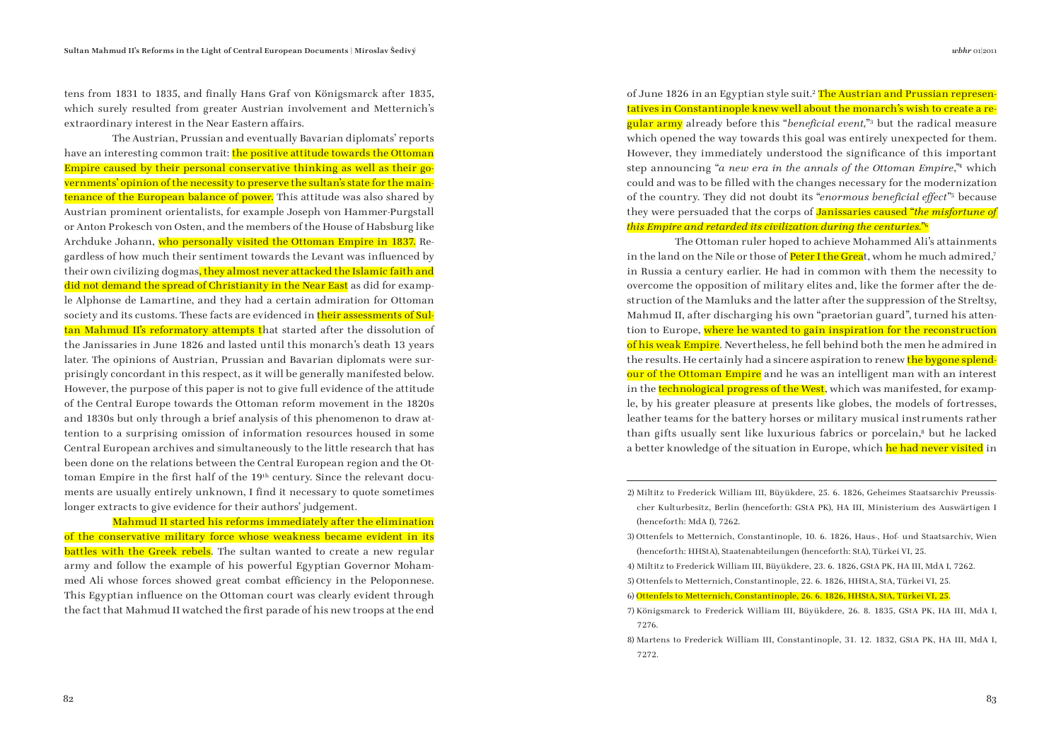tens from 1831 to 1835, and finally Hans Graf von Königsmarck after 1835, which surely resulted from greater Austrian involvement and Metternich's extraordinary interest in the Near Eastern affairs.

The Austrian, Prussian and eventually Bavarian diplomats' reports have an interesting common trait: the positive attitude towards the Ottoman Empire caused by their personal conservative thinking as well as their governments' opinion of the necessity to preserve the sultan's state for the maintenance of the European balance of power. This attitude was also shared by Austrian prominent orientalists, for example Joseph von Hammer-Purgstall or Anton Prokesch von Osten, and the members of the House of Habsburg like Archduke Johann, who personally visited the Ottoman Empire in 1837. Regardless of how much their sentiment towards the Levant was influenced by their own civilizing dogmas, they almost never attacked the Islamic faith and did not demand the spread of Christianity in the Near East as did for example Alphonse de Lamartine, and they had a certain admiration for Ottoman society and its customs. These facts are evidenced in their assessments of Sultan Mahmud II's reformatory attempts that started after the dissolution of the Janissaries in June 1826 and lasted until this monarch's death 13 years later. The opinions of Austrian, Prussian and Bavarian diplomats were surprisingly concordant in this respect, as it will be generally manifested below. However, the purpose of this paper is not to give full evidence of the attitude of the Central Europe towards the Ottoman reform movement in the 1820s and 1830s but only through a brief analysis of this phenomenon to draw attention to a surprising omission of information resources housed in some Central European archives and simultaneously to the little research that has been done on the relations between the Central European region and the Ottoman Empire in the first half of the 19<sup>th</sup> century. Since the relevant documents are usually entirely unknown, I find it necessary to quote sometimes longer extracts to give evidence for their authors' judgement.

Mahmud II started his reforms immediately after the elimination of the conservative military force whose weakness became evident in its **battles with the Greek rebels**. The sultan wanted to create a new regular army and follow the example of his powerful Egyptian Governor Mohammed Ali whose forces showed great combat efficiency in the Peloponnese. This Egyptian influence on the Ottoman court was clearly evident through the fact that Mahmud II watched the first parade of his new troops at the end of June 1826 in an Egyptian style suit.<sup>2</sup> The Austrian and Prussian representatives in Constantinople knew well about the monarch's wish to create a re**gular army** already before this "*beneficial event*."<sup>3</sup> but the radical measure which opened the way towards this goal was entirely unexpected for them. However, they immediately understood the significance of this important step announcing "*a new era in the annals of the Ottoman Empire*,"4 which could and was to be filled with the changes necessary for the modernization of the country. They did not doubt its "*enormous beneficial effect*"<sup>5</sup> because they were persuaded that the corps of Janissaries caused "*the misfortune of this Empire and retarded its civilization during the centuries.*"6

The Ottoman ruler hoped to achieve Mohammed Ali's attainments in the land on the Nile or those of **Peter I the Grea**t, whom he much admired,<sup>7</sup> in Russia a century earlier. He had in common with them the necessity to overcome the opposition of military elites and, like the former after the destruction of the Mamluks and the latter after the suppression of the Streltsy, Mahmud II, after discharging his own "praetorian guard", turned his attention to Europe, where he wanted to gain inspiration for the reconstruction of his weak Empire. Nevertheless, he fell behind both the men he admired in the results. He certainly had a sincere aspiration to renew the bygone splendour of the Ottoman Empire and he was an intelligent man with an interest in the **technological progress of the West**, which was manifested, for example, by his greater pleasure at presents like globes, the models of fortresses, leather teams for the battery horses or military musical instruments rather than gifts usually sent like luxurious fabrics or porcelain,8 but he lacked a better knowledge of the situation in Europe, which he had never visited in

3) Ottenfels to Metternich, Constantinople, 10. 6. 1826, Haus-, Hof- und Staatsarchiv, Wien (henceforth: HHStA), Staatenabteilungen (henceforth: StA), Türkei VI, 25.

- 7) Königsmarck to Frederick William III, Büyükdere, 26. 8. 1835, GStA PK, HA III, MdA I, 7276.
- 8) Martens to Frederick William III, Constantinople, 31. 12. 1832, GStA PK, HA III, MdA I, 7272.

<sup>2)</sup> Miltitz to Frederick William III, Büyükdere, 25. 6. 1826, Geheimes Staatsarchiv Preussischer Kulturbesitz, Berlin (henceforth: GStA PK), HA III, Ministerium des Auswärtigen I (henceforth: MdA I), 7262.

<sup>4)</sup> Miltitz to Frederick William III, Büyükdere, 23. 6. 1826, GStA PK, HA III, MdA I, 7262.

<sup>5)</sup> Ottenfels to Metternich, Constantinople, 22. 6. 1826, HHStA, StA, Türkei VI, 25.

<sup>6)</sup> Ottenfels to Metternich, Constantinople, 26. 6. 1826, HHStA, StA, Türkei VI, 25.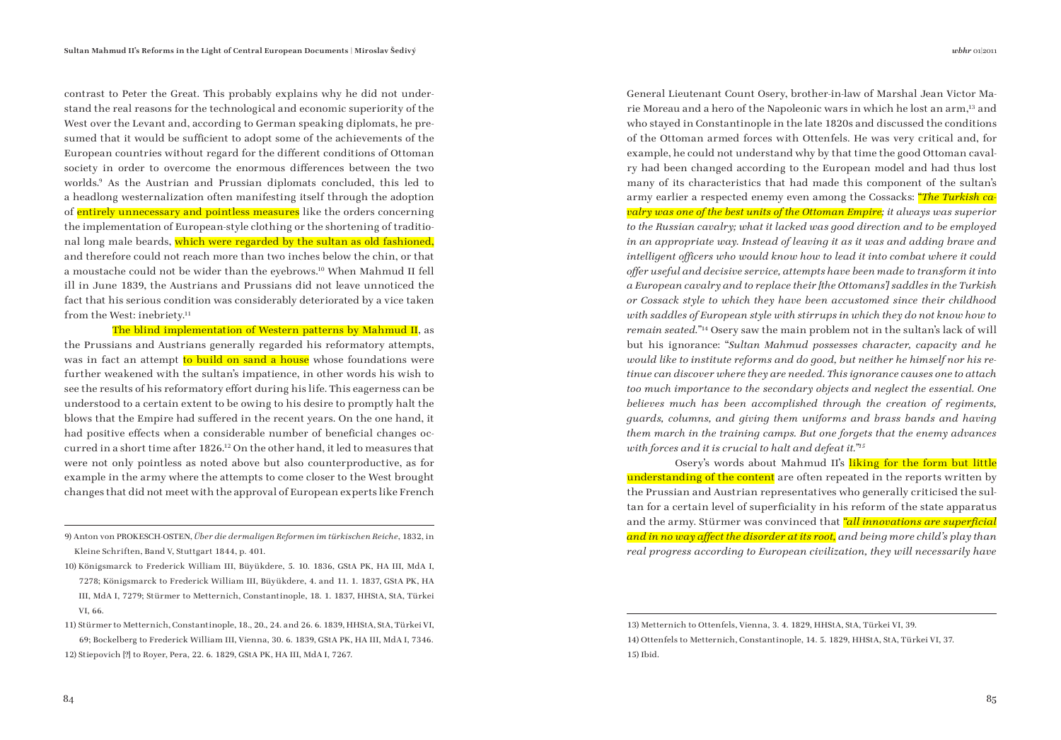contrast to Peter the Great. This probably explains why he did not understand the real reasons for the technological and economic superiority of the West over the Levant and, according to German speaking diplomats, he presumed that it would be sufficient to adopt some of the achievements of the European countries without regard for the different conditions of Ottoman society in order to overcome the enormous differences between the two worlds.9 As the Austrian and Prussian diplomats concluded, this led to a headlong westernalization often manifesting itself through the adoption of entirely unnecessary and pointless measures like the orders concerning the implementation of European-style clothing or the shortening of traditional long male beards, which were regarded by the sultan as old fashioned, and therefore could not reach more than two inches below the chin, or that a moustache could not be wider than the eyebrows.10 When Mahmud II fell ill in June 1839, the Austrians and Prussians did not leave unnoticed the fact that his serious condition was considerably deteriorated by a vice taken from the West: inebriety.<sup>11</sup>

The blind implementation of Western patterns by Mahmud II, as the Prussians and Austrians generally regarded his reformatory attempts, was in fact an attempt to build on sand a house whose foundations were further weakened with the sultan's impatience, in other words his wish to see the results of his reformatory effort during his life. This eagerness can be understood to a certain extent to be owing to his desire to promptly halt the blows that the Empire had suffered in the recent years. On the one hand, it had positive effects when a considerable number of beneficial changes occurred in a short time after 1826.12 On the other hand, it led to measures that were not only pointless as noted above but also counterproductive, as for example in the army where the attempts to come closer to the West brought changes that did not meet with the approval of European experts like French General Lieutenant Count Osery, brother-in-law of Marshal Jean Victor Marie Moreau and a hero of the Napoleonic wars in which he lost an arm,13 and who stayed in Constantinople in the late 1820s and discussed the conditions of the Ottoman armed forces with Ottenfels. He was very critical and, for example, he could not understand why by that time the good Ottoman cavalry had been changed according to the European model and had thus lost many of its characteristics that had made this component of the sultan's army earlier a respected enemy even among the Cossacks: "*The Turkish cavalry was one of the best units of the Ottoman Empire; it always was superior to the Russian cavalry; what it lacked was good direction and to be employed in an appropriate way. Instead of leaving it as it was and adding brave and*  intelligent officers who would know how to lead it into combat where it could *off er useful and decisive service, attempts have been made to transform it into a European cavalry and to replace their [the Ottomans'] saddles in the Turkish or Cossack style to which they have been accustomed since their childhood with saddles of European style with stirrups in which they do not know how to remain seated."*14 Osery saw the main problem not in the sultan's lack of will but his ignorance: "*Sultan Mahmud possesses character, capacity and he would like to institute reforms and do good, but neither he himself nor his retinue can discover where they are needed. This ignorance causes one to attach too much importance to the secondary objects and neglect the essential. One believes much has been accomplished through the creation of regiments, guards, columns, and giving them uniforms and brass bands and having them march in the training camps. But one forgets that the enemy advances with forces and it is crucial to halt and defeat it."15*

Osery's words about Mahmud II's liking for the form but little understanding of the content are often repeated in the reports written by the Prussian and Austrian representatives who generally criticised the sultan for a certain level of superficiality in his reform of the state apparatus and the army. Stürmer was convinced that *"all innovations are superficial* and in no way affect the disorder at its root, and being more child's play than *real progress according to European civilization, they will necessarily have* 

<sup>9)</sup> Anton von PROKESCH-OSTEN, *Über die dermaligen Reformen im türkischen Reiche*, 1832, in Kleine Schriften, Band V, Stuttgart 1844, p. 401.

<sup>10)</sup> Königsmarck to Frederick William III, Büyükdere, 5. 10. 1836, GStA PK, HA III, MdA I, 7278; Königsmarck to Frederick William III, Büyükdere, 4. and 11. 1. 1837, GStA PK, HA III, MdA I, 7279; Stürmer to Metternich, Constantinople, 18. 1. 1837, HHStA, StA, Türkei VI, 66.

<sup>11)</sup> Stürmer to Metternich, Constantinople, 18., 20., 24. and 26. 6. 1839, HHStA, StA, Türkei VI, 69; Bockelberg to Frederick William III, Vienna, 30. 6. 1839, GStA PK, HA III, MdA I, 7346. 12) Stiepovich [?] to Royer, Pera, 22. 6. 1829, GStA PK, HA III, MdA I, 7267.

<sup>13)</sup> Metternich to Ottenfels, Vienna, 3. 4. 1829, HHStA, StA, Türkei VI, 39. 14) Ottenfels to Metternich, Constantinople, 14. 5. 1829, HHStA, StA, Türkei VI, 37. 15) Ibid.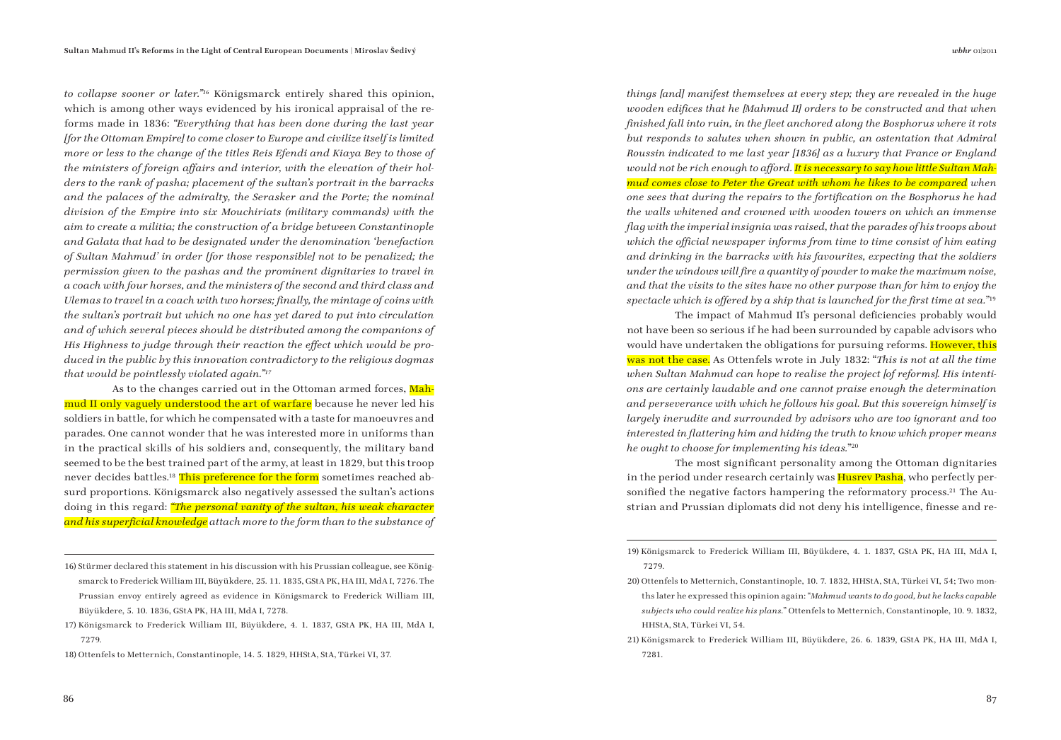*to collapse sooner or later."16* Königsmarck entirely shared this opinion, which is among other ways evidenced by his ironical appraisal of the reforms made in 1836: *"Everything that has been done during the last year [for the Ottoman Empire] to come closer to Europe and civilize itself is limited more or less to the change of the titles Reis Efendi and Kiaya Bey to those of the ministers of foreign affairs and interior, with the elevation of their holders to the rank of pasha; placement of the sultan's portrait in the barracks and the palaces of the admiralty, the Serasker and the Porte; the nominal division of the Empire into six Mouchiriats (military commands) with the aim to create a militia; the construction of a bridge between Constantinople and Galata that had to be designated under the denomination 'benefaction of Sultan Mahmud' in order [for those responsible] not to be penalized; the permission given to the pashas and the prominent dignitaries to travel in a coach with four horses, and the ministers of the second and third class and Ulemas to travel in a coach with two horses; fi nally, the mintage of coins with the sultan's portrait but which no one has yet dared to put into circulation and of which several pieces should be distributed among the companions of His Highness to judge through their reaction the effect which would be produced in the public by this innovation contradictory to the religious dogmas that would be pointlessly violated again."17*

As to the changes carried out in the Ottoman armed forces, Mahmud II only vaguely understood the art of warfare because he never led his soldiers in battle, for which he compensated with a taste for manoeuvres and parades. One cannot wonder that he was interested more in uniforms than in the practical skills of his soldiers and, consequently, the military band seemed to be the best trained part of the army, at least in 1829, but this troop never decides battles.<sup>18</sup> This preference for the form sometimes reached absurd proportions. Königsmarck also negatively assessed the sultan's actions doing in this regard: *"The personal vanity of the sultan, his weak character*  and his superficial knowledge attach more to the form than to the substance of

*things [and] manifest themselves at every step; they are revealed in the huge wooden edifices that he [Mahmud II] orders to be constructed and that when finished fall into ruin, in the fleet anchored along the Bosphorus where it rots but responds to salutes when shown in public, an ostentation that Admiral Roussin indicated to me last year [1836] as a luxury that France or England*  would not be rich enough to afford. It is necessary to say how little Sultan Mah*mud comes close to Peter the Great with whom he likes to be compared when one sees that during the repairs to the fortifi cation on the Bosphorus he had the walls whitened and crowned with wooden towers on which an immense fl ag with the imperial insignia was raised, that the parades of his troops about*  which the official newspaper informs from time to time consist of him eating *and drinking in the barracks with his favourites, expecting that the soldiers under the windows will fire a quantity of powder to make the maximum noise, and that the visits to the sites have no other purpose than for him to enjoy the spectacle which is offered by a ship that is launched for the first time at sea.*"<sup>19</sup>

The impact of Mahmud II's personal deficiencies probably would not have been so serious if he had been surrounded by capable advisors who would have undertaken the obligations for pursuing reforms. However, this was not the case. As Ottenfels wrote in July 1832: "*This is not at all the time when Sultan Mahmud can hope to realise the project [of reforms]. His intentions are certainly laudable and one cannot praise enough the determination and perseverance with which he follows his goal. But this sovereign himself is largely inerudite and surrounded by advisors who are too ignorant and too*  interested in flattering him and hiding the truth to know which proper means *he ought to choose for implementing his ideas.*"20

The most significant personality among the Ottoman dignitaries in the period under research certainly was **Husrey Pasha**, who perfectly personified the negative factors hampering the reformatory process.<sup>21</sup> The Austrian and Prussian diplomats did not deny his intelligence, finesse and re-

<sup>16)</sup> Stürmer declared this statement in his discussion with his Prussian colleague, see Königsmarck to Frederick William III, Büyükdere, 25. 11. 1835, GStA PK, HA III, MdA I, 7276. The Prussian envoy entirely agreed as evidence in Königsmarck to Frederick William III, Büyükdere, 5. 10. 1836, GStA PK, HA III, MdA I, 7278.

<sup>17)</sup> Königsmarck to Frederick William III, Büyükdere, 4. 1. 1837, GStA PK, HA III, MdA I, 7279.

<sup>18)</sup> Ottenfels to Metternich, Constantinople, 14. 5. 1829, HHStA, StA, Türkei VI, 37.

<sup>19)</sup> Königsmarck to Frederick William III, Büyükdere, 4. 1. 1837, GStA PK, HA III, MdA I, 7279.

<sup>20)</sup> Ottenfels to Metternich, Constantinople, 10. 7. 1832, HHStA, StA, Türkei VI, 54; Two months later he expressed this opinion again: "*Mahmud wants to do good, but he lacks capable subjects who could realize his plans.*" Ottenfels to Metternich, Constantinople, 10. 9. 1832, HHStA, StA, Türkei VI, 54.

<sup>21)</sup> Königsmarck to Frederick William III, Büyükdere, 26. 6. 1839, GStA PK, HA III, MdA I, 7281.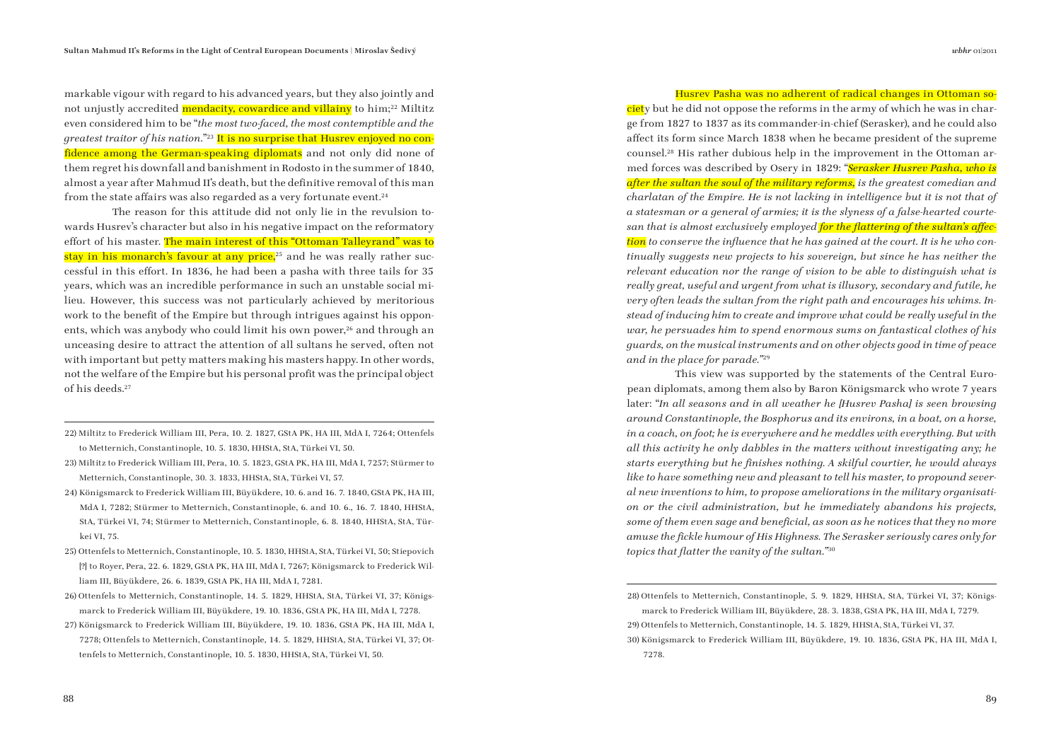markable vigour with regard to his advanced years, but they also jointly and not unjustly accredited mendacity, cowardice and villainy to him;<sup>22</sup> Miltitz even considered him to be "*the most two-faced, the most contemptible and the greatest traitor of his nation.*"23 It is no surprise that Husrev enjoyed no confidence among the German-speaking diplomats and not only did none of them regret his downfall and banishment in Rodosto in the summer of 1840, almost a year after Mahmud II's death, but the definitive removal of this man from the state affairs was also regarded as a very fortunate event.<sup>24</sup>

The reason for this attitude did not only lie in the revulsion towards Husrev's character but also in his negative impact on the reformatory effort of his master. The main interest of this "Ottoman Talleyrand" was to stay in his monarch's favour at any price,<sup>25</sup> and he was really rather successful in this effort. In 1836, he had been a pasha with three tails for 35 years, which was an incredible performance in such an unstable social milieu. However, this success was not particularly achieved by meritorious work to the benefit of the Empire but through intrigues against his opponents, which was anybody who could limit his own power,<sup>26</sup> and through an unceasing desire to attract the attention of all sultans he served, often not with important but petty matters making his masters happy. In other words, not the welfare of the Empire but his personal profit was the principal object of his deeds.27

- 22) Miltitz to Frederick William III, Pera, 10. 2. 1827, GStA PK, HA III, MdA I, 7264; Ottenfels to Metternich, Constantinople, 10. 5. 1830, HHStA, StA, Türkei VI, 50.
- 23) Miltitz to Frederick William III, Pera, 10. 5. 1823, GStA PK, HA III, MdA I, 7257; Stürmer to Metternich, Constantinople, 30. 3. 1833, HHStA, StA, Türkei VI, 57.
- 24) Königsmarck to Frederick William III, Büyükdere, 10. 6. and 16. 7. 1840, GStA PK, HA III, MdA I, 7282; Stürmer to Metternich, Constantinople, 6. and 10. 6., 16. 7. 1840, HHStA, StA, Türkei VI, 74; Stürmer to Metternich, Constantinople, 6. 8. 1840, HHStA, StA, Türkei VI, 75.
- 25) Ottenfels to Metternich, Constantinople, 10. 5. 1830, HHStA, StA, Türkei VI, 50; Stiepovich [?] to Royer, Pera, 22. 6. 1829, GStA PK, HA III, MdA I, 7267; Königsmarck to Frederick William III, Büyükdere, 26. 6. 1839, GStA PK, HA III, MdA I, 7281.
- 26) Ottenfels to Metternich, Constantinople, 14. 5. 1829, HHStA, StA, Türkei VI, 37; Königsmarck to Frederick William III, Büyükdere, 19. 10. 1836, GStA PK, HA III, MdA I, 7278.
- 27) Königsmarck to Frederick William III, Büyükdere, 19. 10. 1836, GStA PK, HA III, MdA I, 7278; Ottenfels to Metternich, Constantinople, 14. 5. 1829, HHStA, StA, Türkei VI, 37; Ottenfels to Metternich, Constantinople, 10. 5. 1830, HHStA, StA, Türkei VI, 50.

## Husrev Pasha was no adherent of radical changes in Ottoman so-

ciety but he did not oppose the reforms in the army of which he was in charge from 1827 to 1837 as its commander-in-chief (Serasker), and he could also affect its form since March 1838 when he became president of the supreme counsel.28 His rather dubious help in the improvement in the Ottoman armed forces was described by Osery in 1829: "*Serasker Husrev Pasha, who is after the sultan the soul of the military reforms, is the greatest comedian and charlatan of the Empire. He is not lacking in intelligence but it is not that of a statesman or a general of armies; it is the slyness of a false-hearted courte*san that is almost exclusively employed for the flattering of the sultan's affection to conserve the influence that he has gained at the court. It is he who con*tinually suggests new projects to his sovereign, but since he has neither the relevant education nor the range of vision to be able to distinguish what is really great, useful and urgent from what is illusory, secondary and futile, he very often leads the sultan from the right path and encourages his whims. Instead of inducing him to create and improve what could be really useful in the war, he persuades him to spend enormous sums on fantastical clothes of his guards, on the musical instruments and on other objects good in time of peace and in the place for parade."*<sup>29</sup>

This view was supported by the statements of the Central European diplomats, among them also by Baron Königsmarck who wrote 7 years later: "*In all seasons and in all weather he [Husrev Pasha] is seen browsing around Constantinople, the Bosphorus and its environs, in a boat, on a horse, in a coach, on foot; he is everywhere and he meddles with everything. But with all this activity he only dabbles in the matters without investigating any; he*  starts everything but he finishes nothing. A skilful courtier, he would always *like to have something new and pleasant to tell his master, to propound several new inventions to him, to propose ameliorations in the military organisation or the civil administration, but he immediately abandons his projects,*  some of them even sage and beneficial, as soon as he notices that they no more *amuse the fi ckle humour of His Highness. The Serasker seriously cares only for topics that flatter the vanity of the sultan.*"<sup>30</sup>

<sup>28)</sup> Ottenfels to Metternich, Constantinople, 5. 9. 1829, HHStA, StA, Türkei VI, 37; Königsmarck to Frederick William III, Büyükdere, 28. 3. 1838, GStA PK, HA III, MdA I, 7279. 29) Ottenfels to Metternich, Constantinople, 14. 5. 1829, HHStA, StA, Türkei VI, 37. 30) Königsmarck to Frederick William III, Büyükdere, 19. 10. 1836, GStA PK, HA III, MdA I, 7278.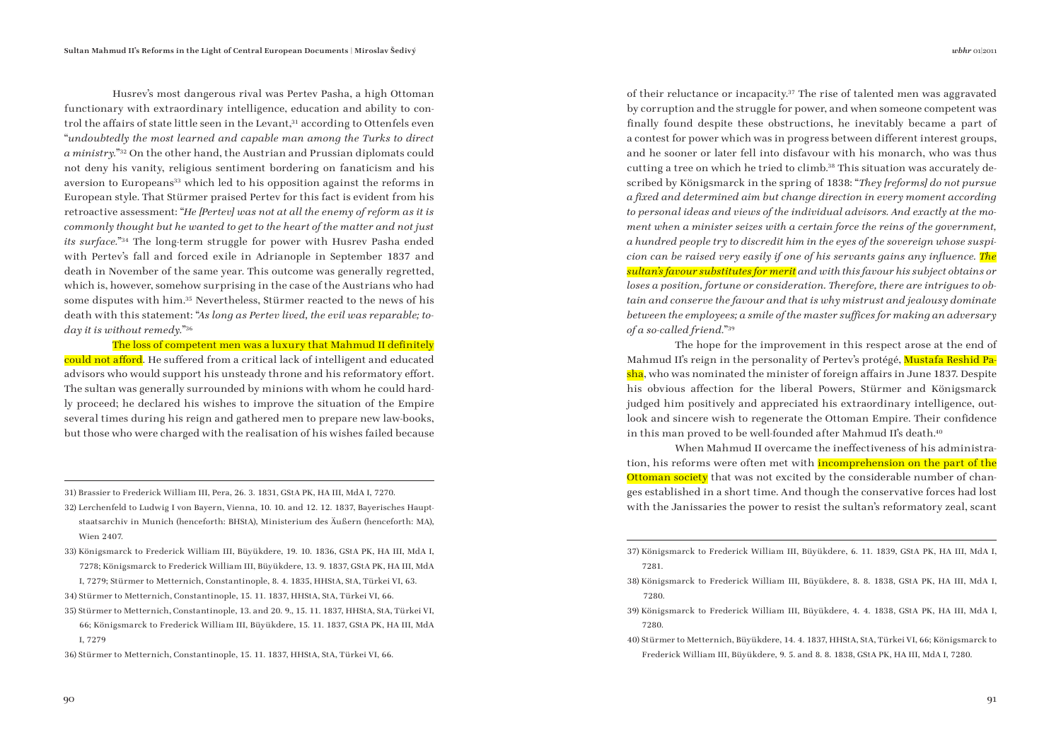Husrev's most dangerous rival was Pertev Pasha, a high Ottoman functionary with extraordinary intelligence, education and ability to control the affairs of state little seen in the Levant.<sup>31</sup> according to Ottenfels even "*undoubtedly the most learned and capable man among the Turks to direct a ministry.*"32 On the other hand, the Austrian and Prussian diplomats could not deny his vanity, religious sentiment bordering on fanaticism and his aversion to Europeans<sup>33</sup> which led to his opposition against the reforms in European style. That Stürmer praised Pertev for this fact is evident from his retroactive assessment: "*He [Pertev] was not at all the enemy of reform as it is commonly thought but he wanted to get to the heart of the matter and not just its surface.*"34 The long-term struggle for power with Husrev Pasha ended with Pertev's fall and forced exile in Adrianople in September 1837 and death in November of the same year. This outcome was generally regretted, which is, however, somehow surprising in the case of the Austrians who had some disputes with him.35 Nevertheless, Stürmer reacted to the news of his death with this statement: "*As long as Pertev lived, the evil was reparable; today it is without remedy.*"36

The loss of competent men was a luxury that Mahmud II definitely could not afford. He suffered from a critical lack of intelligent and educated advisors who would support his unsteady throne and his reformatory effort. The sultan was generally surrounded by minions with whom he could hardly proceed; he declared his wishes to improve the situation of the Empire several times during his reign and gathered men to prepare new law-books, but those who were charged with the realisation of his wishes failed because

31) Brassier to Frederick William III, Pera, 26. 3. 1831, GStA PK, HA III, MdA I, 7270.

- 32) Lerchenfeld to Ludwig I von Bayern, Vienna, 10. 10. and 12. 12. 1837, Bayerisches Hauptstaatsarchiv in Munich (henceforth: BHStA), Ministerium des Äußern (henceforth: MA), Wien 2407.
- 33) Königsmarck to Frederick William III, Büyükdere, 19. 10. 1836, GStA PK, HA III, MdA I, 7278; Königsmarck to Frederick William III, Büyükdere, 13. 9. 1837, GStA PK, HA III, MdA

I, 7279; Stürmer to Metternich, Constantinople, 8. 4. 1835, HHStA, StA, Türkei VI, 63.

- 34) Stürmer to Metternich, Constantinople, 15. 11. 1837, HHStA, StA, Türkei VI, 66.
- 35) Stürmer to Metternich, Constantinople, 13. and 20. 9., 15. 11. 1837, HHStA, StA, Türkei VI, 66; Königsmarck to Frederick William III, Büyükdere, 15. 11. 1837, GStA PK, HA III, MdA I, 7279

36) Stürmer to Metternich, Constantinople, 15. 11. 1837, HHStA, StA, Türkei VI, 66.

of their reluctance or incapacity.37 The rise of talented men was aggravated by corruption and the struggle for power, and when someone competent was finally found despite these obstructions, he inevitably became a part of a contest for power which was in progress between different interest groups, and he sooner or later fell into disfavour with his monarch, who was thus cutting a tree on which he tried to climb.38 This situation was accurately described by Königsmarck in the spring of 1838: "*They [reforms] do not pursue a fi xed and determined aim but change direction in every moment according to personal ideas and views of the individual advisors. And exactly at the moment when a minister seizes with a certain force the reins of the government, a hundred people try to discredit him in the eyes of the sovereign whose suspicion can be raised very easily if one of his servants gains any influence. The sultan's favour substitutes for merit and with this favour his subject obtains or loses a position, fortune or consideration. Therefore, there are intrigues to obtain and conserve the favour and that is why mistrust and jealousy dominate between the employees; a smile of the master suffices for making an adversary of a so-called friend.*"39

The hope for the improvement in this respect arose at the end of Mahmud II's reign in the personality of Pertev's protégé, Mustafa Reshid Pasha, who was nominated the minister of foreign affairs in June 1837. Despite his obvious affection for the liberal Powers, Stürmer and Königsmarck judged him positively and appreciated his extraordinary intelligence, outlook and sincere wish to regenerate the Ottoman Empire. Their confidence in this man proved to be well-founded after Mahmud II's death.40

When Mahmud II overcame the ineffectiveness of his administration, his reforms were often met with **incomprehension on the part of the** Ottoman society that was not excited by the considerable number of changes established in a short time. And though the conservative forces had lost with the Janissaries the power to resist the sultan's reformatory zeal, scant

- 38) Königsmarck to Frederick William III, Büyükdere, 8. 8. 1838, GStA PK, HA III, MdA I, 7280.
- 39) Königsmarck to Frederick William III, Büyükdere, 4. 4. 1838, GStA PK, HA III, MdA I, 7280.
- 40) Stürmer to Metternich, Büyükdere, 14. 4. 1837, HHStA, StA, Türkei VI, 66; Königsmarck to Frederick William III, Büyükdere, 9. 5. and 8. 8. 1838, GStA PK, HA III, MdA I, 7280.

<sup>37)</sup> Königsmarck to Frederick William III, Büyükdere, 6. 11. 1839, GStA PK, HA III, MdA I, 7281.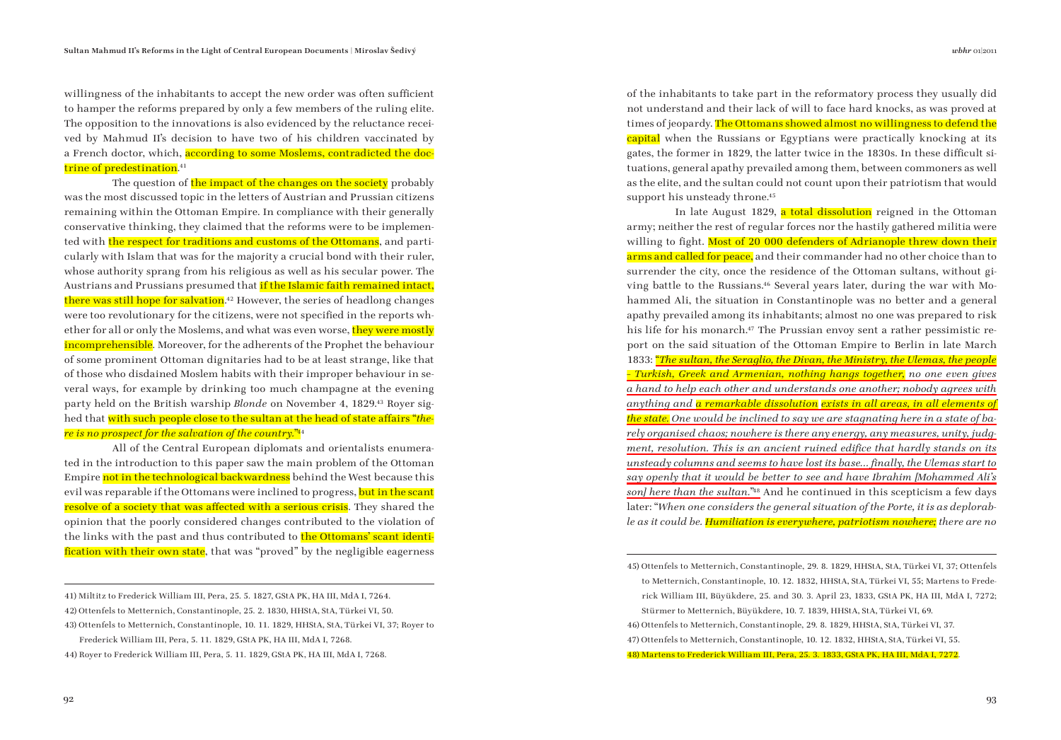willingness of the inhabitants to accept the new order was often sufficient to hamper the reforms prepared by only a few members of the ruling elite. The opposition to the innovations is also evidenced by the reluctance received by Mahmud II's decision to have two of his children vaccinated by a French doctor, which, according to some Moslems, contradicted the doctrine of predestination.<sup>41</sup>

The question of the impact of the changes on the society probably was the most discussed topic in the letters of Austrian and Prussian citizens remaining within the Ottoman Empire. In compliance with their generally conservative thinking, they claimed that the reforms were to be implemented with the respect for traditions and customs of the Ottomans, and particularly with Islam that was for the majority a crucial bond with their ruler, whose authority sprang from his religious as well as his secular power. The Austrians and Prussians presumed that if the Islamic faith remained intact, there was still hope for salvation.<sup>42</sup> However, the series of headlong changes were too revolutionary for the citizens, were not specified in the reports whether for all or only the Moslems, and what was even worse, they were mostly incomprehensible. Moreover, for the adherents of the Prophet the behaviour of some prominent Ottoman dignitaries had to be at least strange, like that of those who disdained Moslem habits with their improper behaviour in several ways, for example by drinking too much champagne at the evening party held on the British warship *Blonde* on November 4, 1829.43 Royer sighed that with such people close to the sultan at the head of state affairs "*there is no prospect for the salvation of the country.*" 44

All of the Central European diplomats and orientalists enumerated in the introduction to this paper saw the main problem of the Ottoman Empire not in the technological backwardness behind the West because this evil was reparable if the Ottomans were inclined to progress, but in the scant resolve of a society that was affected with a serious crisis. They shared the opinion that the poorly considered changes contributed to the violation of the links with the past and thus contributed to the Ottomans' scant identification with their own state, that was "proved" by the negligible eagerness

41) Miltitz to Frederick William III, Pera, 25. 5. 1827, GStA PK, HA III, MdA I, 7264. 42) Ottenfels to Metternich, Constantinople, 25. 2. 1830, HHStA, StA, Türkei VI, 50. 43) Ottenfels to Metternich, Constantinople, 10. 11. 1829, HHStA, StA, Türkei VI, 37; Royer to Frederick William III, Pera, 5. 11. 1829, GStA PK, HA III, MdA I, 7268. 44) Royer to Frederick William III, Pera, 5. 11. 1829, GStA PK, HA III, MdA I, 7268.

of the inhabitants to take part in the reformatory process they usually did not understand and their lack of will to face hard knocks, as was proved at times of jeopardy. The Ottomans showed almost no willingness to defend the capital when the Russians or Egyptians were practically knocking at its gates, the former in 1829, the latter twice in the 1830s. In these difficult situations, general apathy prevailed among them, between commoners as well as the elite, and the sultan could not count upon their patriotism that would support his unsteady throne.<sup>45</sup>

In late August 1829, a total dissolution reigned in the Ottoman army; neither the rest of regular forces nor the hastily gathered militia were willing to fight. Most of 20 000 defenders of Adrianople threw down their arms and called for peace, and their commander had no other choice than to surrender the city, once the residence of the Ottoman sultans, without giving battle to the Russians.46 Several years later, during the war with Mohammed Ali, the situation in Constantinople was no better and a general apathy prevailed among its inhabitants; almost no one was prepared to risk his life for his monarch.<sup>47</sup> The Prussian envoy sent a rather pessimistic report on the said situation of the Ottoman Empire to Berlin in late March 1833: "*The sultan, the Seraglio, the Divan, the Ministry, the Ulemas, the people – Turkish, Greek and Armenian, nothing hangs together, no one even gives a hand to help each other and understands one another; nobody agrees with anything and a remarkable dissolution exists in all areas, in all elements of the state. One would be inclined to say we are stagnating here in a state of barely organised chaos; nowhere is there any energy, any measures, unity, judgment, resolution. This is an ancient ruined edifice that hardly stands on its unsteady columns and seems to have lost its base… fi nally, the Ulemas start to say openly that it would be better to see and have Ibrahim [Mohammed Ali's son] here than the sultan.*" 48 And he continued in this scepticism a few days later: "*When one considers the general situation of the Porte, it is as deplorable as it could be. Humiliation is everywhere, patriotism nowhere; there are no* 

45) Ottenfels to Metternich, Constantinople, 29. 8. 1829, HHStA, StA, Türkei VI, 37; Ottenfels to Metternich, Constantinople, 10. 12. 1832, HHStA, StA, Türkei VI, 55; Martens to Frede-

rick William III, Büyükdere, 25. and 30. 3. April 23, 1833, GStA PK, HA III, MdA I, 7272; Stürmer to Metternich, Büyükdere, 10. 7. 1839, HHStA, StA, Türkei VI, 69.

46) Ottenfels to Metternich, Constantinople, 29. 8. 1829, HHStA, StA, Türkei VI, 37.

47) Ottenfels to Metternich, Constantinople, 10. 12. 1832, HHStA, StA, Türkei VI, 55.

48) Martens to Frederick William III, Pera, 25. 3. 1833, GStA PK, HA III, MdA I, 7272.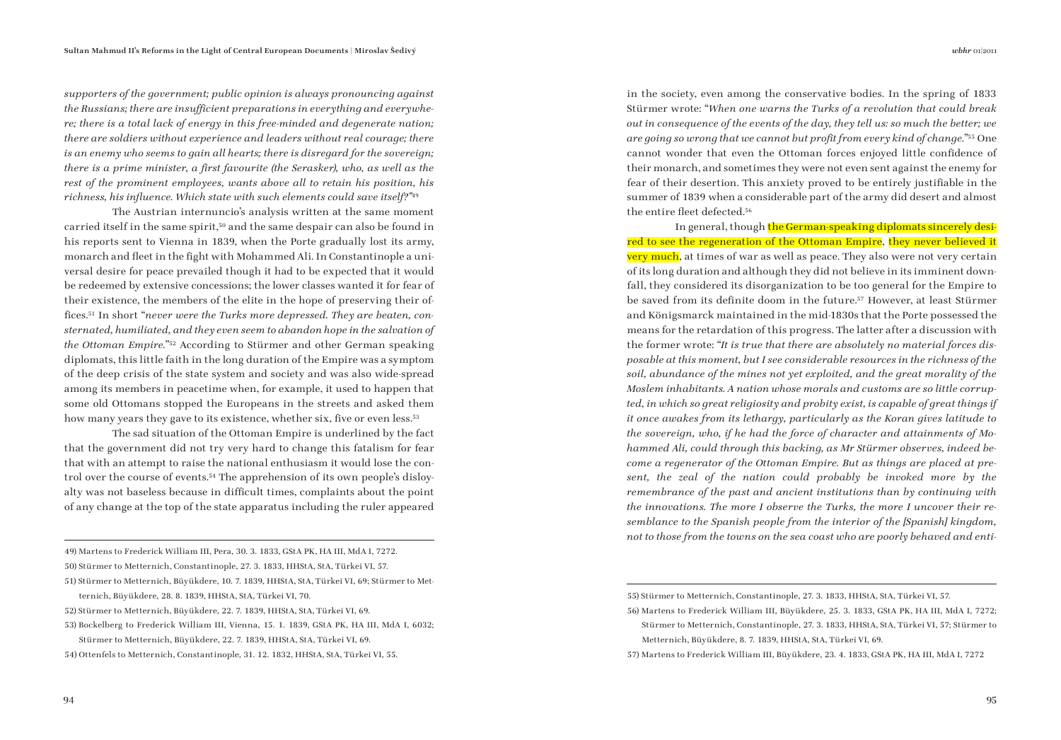*supporters of the government; public opinion is always pronouncing against the Russians; there are insufficient preparations in everything and everywhere; there is a total lack of energy in this free-minded and degenerate nation; there are soldiers without experience and leaders without real courage; there is an enemy who seems to gain all hearts; there is disregard for the sovereign; there is a prime minister, a first favourite (the Serasker), who, as well as the rest of the prominent employees, wants above all to retain his position, his*  richness, his influence. Which state with such elements could save itself?"<sup>49</sup>

The Austrian internuncio's analysis written at the same moment carried itself in the same spirit,<sup>50</sup> and the same despair can also be found in his reports sent to Vienna in 1839, when the Porte gradually lost its army, monarch and fleet in the fight with Mohammed Ali. In Constantinople a universal desire for peace prevailed though it had to be expected that it would be redeemed by extensive concessions; the lower classes wanted it for fear of their existence, the members of the elite in the hope of preserving their offices.<sup>51</sup> In short "never were the Turks more depressed. They are beaten, con*sternated, humiliated, and they even seem to abandon hope in the salvation of the Ottoman Empire.*"52 According to Stürmer and other German speaking diplomats, this little faith in the long duration of the Empire was a symptom of the deep crisis of the state system and society and was also wide-spread among its members in peacetime when, for example, it used to happen that some old Ottomans stopped the Europeans in the streets and asked them how many years they gave to its existence, whether six, five or even less.<sup>53</sup>

The sad situation of the Ottoman Empire is underlined by the fact that the government did not try very hard to change this fatalism for fear that with an attempt to raise the national enthusiasm it would lose the control over the course of events.54 The apprehension of its own people's disloyalty was not baseless because in difficult times, complaints about the point of any change at the top of the state apparatus including the ruler appeared

49) Martens to Frederick William III, Pera, 30. 3. 1833, GStA PK, HA III, MdA I, 7272. 50) Stürmer to Metternich, Constantinople, 27. 3. 1833, HHStA, StA, Türkei VI, 57.

- 51) Stürmer to Metternich, Büyükdere, 10. 7. 1839, HHStA, StA, Türkei VI, 69; Stürmer to Metternich, Büyükdere, 28. 8. 1839, HHStA, StA, Türkei VI, 70.
- 52) Stürmer to Metternich, Büyükdere, 22. 7. 1839, HHStA, StA, Türkei VI, 69.
- 53) Bockelberg to Frederick William III, Vienna, 15. 1. 1839, GStA PK, HA III, MdA I, 6032;
- Stürmer to Metternich, Büyükdere, 22. 7. 1839, HHStA, StA, Türkei VI, 69. 54) Ottenfels to Metternich, Constantinople, 31. 12. 1832, HHStA, StA, Türkei VI, 55.

in the society, even among the conservative bodies. In the spring of 1833 Stürmer wrote: "*When one warns the Turks of a revolution that could break out in consequence of the events of the day, they tell us: so much the better; we are going so wrong that we cannot but profi t from every kind of change.*"55 One cannot wonder that even the Ottoman forces enjoyed little confidence of their monarch, and sometimes they were not even sent against the enemy for fear of their desertion. This anxiety proved to be entirely justifiable in the summer of 1839 when a considerable part of the army did desert and almost the entire fleet defected.<sup>56</sup>

In general, though the German-speaking diplomats sincerely desired to see the regeneration of the Ottoman Empire, they never believed it **very much**, at times of war as well as peace. They also were not very certain of its long duration and although they did not believe in its imminent downfall, they considered its disorganization to be too general for the Empire to be saved from its definite doom in the future.<sup>57</sup> However, at least Stürmer and Königsmarck maintained in the mid-1830s that the Porte possessed the means for the retardation of this progress. The latter after a discussion with the former wrote: "*It is true that there are absolutely no material forces disposable at this moment, but I see considerable resources in the richness of the soil, abundance of the mines not yet exploited, and the great morality of the Moslem inhabitants. A nation whose morals and customs are so little corrupted, in which so great religiosity and probity exist, is capable of great things if it once awakes from its lethargy, particularly as the Koran gives latitude to the sovereign, who, if he had the force of character and attainments of Mohammed Ali, could through this backing, as Mr Stürmer observes, indeed become a regenerator of the Ottoman Empire. But as things are placed at present, the zeal of the nation could probably be invoked more by the remembrance of the past and ancient institutions than by continuing with the innovations. The more I observe the Turks, the more I uncover their resemblance to the Spanish people from the interior of the [Spanish] kingdom, not to those from the towns on the sea coast who are poorly behaved and enti-*

<sup>55)</sup> Stürmer to Metternich, Constantinople, 27. 3. 1833, HHStA, StA, Türkei VI, 57.

<sup>56)</sup> Martens to Frederick William III, Büyükdere, 25. 3. 1833, GStA PK, HA III, MdA I, 7272; Stürmer to Metternich, Constantinople, 27. 3. 1833, HHStA, StA, Türkei VI, 57; Stürmer to Metternich, Büyükdere, 8. 7. 1839, HHStA, StA, Türkei VI, 69.

<sup>57)</sup> Martens to Frederick William III, Büyükdere, 23. 4. 1833, GStA PK, HA III, MdA I, 7272